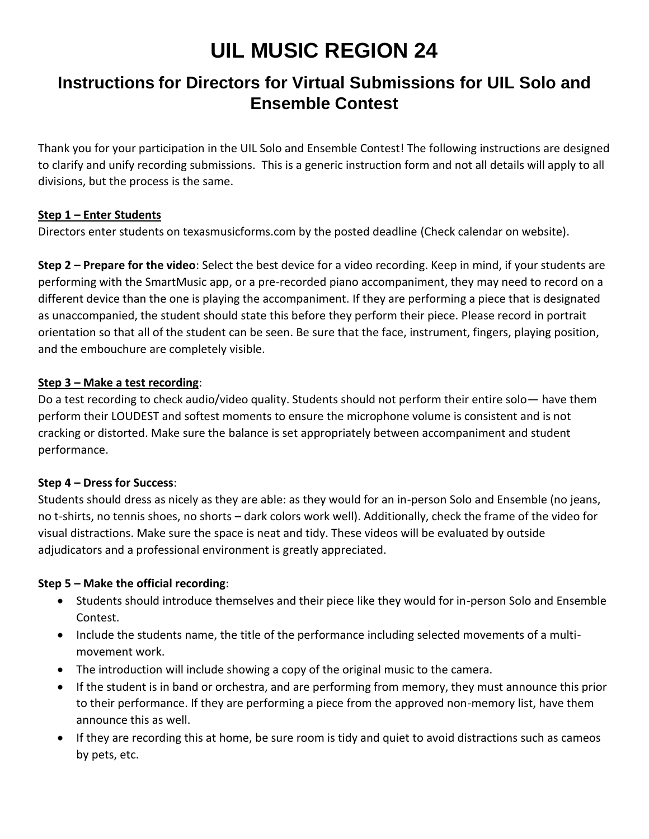# **UIL MUSIC REGION 24**

# **Instructions for Directors for Virtual Submissions for UIL Solo and Ensemble Contest**

Thank you for your participation in the UIL Solo and Ensemble Contest! The following instructions are designed to clarify and unify recording submissions. This is a generic instruction form and not all details will apply to all divisions, but the process is the same.

## **Step 1 – Enter Students**

Directors enter students on texasmusicforms.com by the posted deadline (Check calendar on website).

**Step 2 – Prepare for the video**: Select the best device for a video recording. Keep in mind, if your students are performing with the SmartMusic app, or a pre-recorded piano accompaniment, they may need to record on a different device than the one is playing the accompaniment. If they are performing a piece that is designated as unaccompanied, the student should state this before they perform their piece. Please record in portrait orientation so that all of the student can be seen. Be sure that the face, instrument, fingers, playing position, and the embouchure are completely visible.

#### **Step 3 – Make a test recording**:

Do a test recording to check audio/video quality. Students should not perform their entire solo— have them perform their LOUDEST and softest moments to ensure the microphone volume is consistent and is not cracking or distorted. Make sure the balance is set appropriately between accompaniment and student performance.

#### **Step 4 – Dress for Success**:

Students should dress as nicely as they are able: as they would for an in-person Solo and Ensemble (no jeans, no t-shirts, no tennis shoes, no shorts – dark colors work well). Additionally, check the frame of the video for visual distractions. Make sure the space is neat and tidy. These videos will be evaluated by outside adjudicators and a professional environment is greatly appreciated.

#### **Step 5 – Make the official recording**:

- Students should introduce themselves and their piece like they would for in-person Solo and Ensemble Contest.
- Include the students name, the title of the performance including selected movements of a multimovement work.
- The introduction will include showing a copy of the original music to the camera.
- If the student is in band or orchestra, and are performing from memory, they must announce this prior to their performance. If they are performing a piece from the approved non-memory list, have them announce this as well.
- If they are recording this at home, be sure room is tidy and quiet to avoid distractions such as cameos by pets, etc.